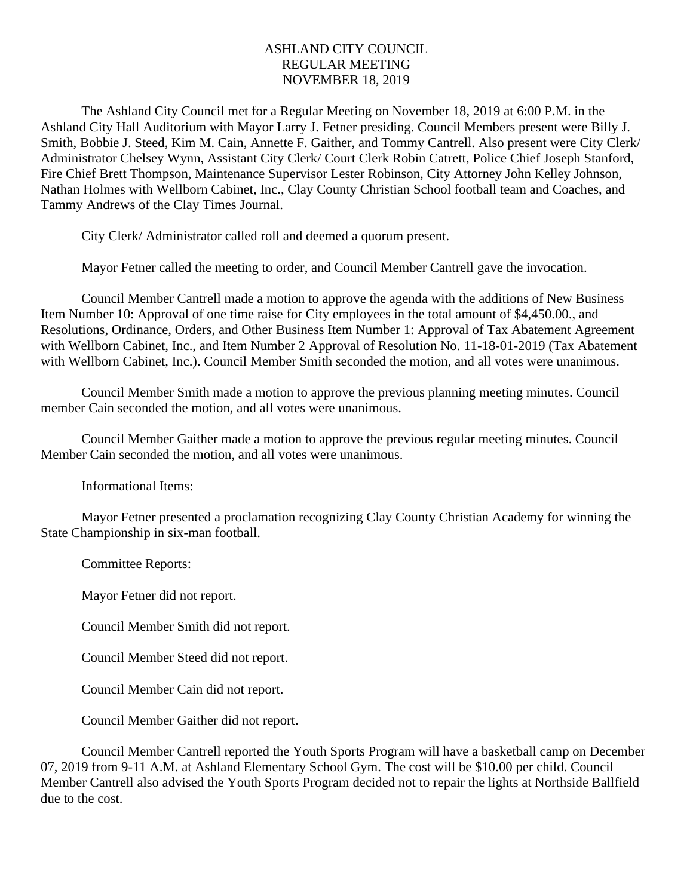## ASHLAND CITY COUNCIL REGULAR MEETING NOVEMBER 18, 2019

The Ashland City Council met for a Regular Meeting on November 18, 2019 at 6:00 P.M. in the Ashland City Hall Auditorium with Mayor Larry J. Fetner presiding. Council Members present were Billy J. Smith, Bobbie J. Steed, Kim M. Cain, Annette F. Gaither, and Tommy Cantrell. Also present were City Clerk/ Administrator Chelsey Wynn, Assistant City Clerk/ Court Clerk Robin Catrett, Police Chief Joseph Stanford, Fire Chief Brett Thompson, Maintenance Supervisor Lester Robinson, City Attorney John Kelley Johnson, Nathan Holmes with Wellborn Cabinet, Inc., Clay County Christian School football team and Coaches, and Tammy Andrews of the Clay Times Journal.

City Clerk/ Administrator called roll and deemed a quorum present.

Mayor Fetner called the meeting to order, and Council Member Cantrell gave the invocation.

Council Member Cantrell made a motion to approve the agenda with the additions of New Business Item Number 10: Approval of one time raise for City employees in the total amount of \$4,450.00., and Resolutions, Ordinance, Orders, and Other Business Item Number 1: Approval of Tax Abatement Agreement with Wellborn Cabinet, Inc., and Item Number 2 Approval of Resolution No. 11-18-01-2019 (Tax Abatement with Wellborn Cabinet, Inc.). Council Member Smith seconded the motion, and all votes were unanimous.

Council Member Smith made a motion to approve the previous planning meeting minutes. Council member Cain seconded the motion, and all votes were unanimous.

Council Member Gaither made a motion to approve the previous regular meeting minutes. Council Member Cain seconded the motion, and all votes were unanimous.

Informational Items:

Mayor Fetner presented a proclamation recognizing Clay County Christian Academy for winning the State Championship in six-man football.

Committee Reports:

Mayor Fetner did not report.

Council Member Smith did not report.

Council Member Steed did not report.

Council Member Cain did not report.

Council Member Gaither did not report.

Council Member Cantrell reported the Youth Sports Program will have a basketball camp on December 07, 2019 from 9-11 A.M. at Ashland Elementary School Gym. The cost will be \$10.00 per child. Council Member Cantrell also advised the Youth Sports Program decided not to repair the lights at Northside Ballfield due to the cost.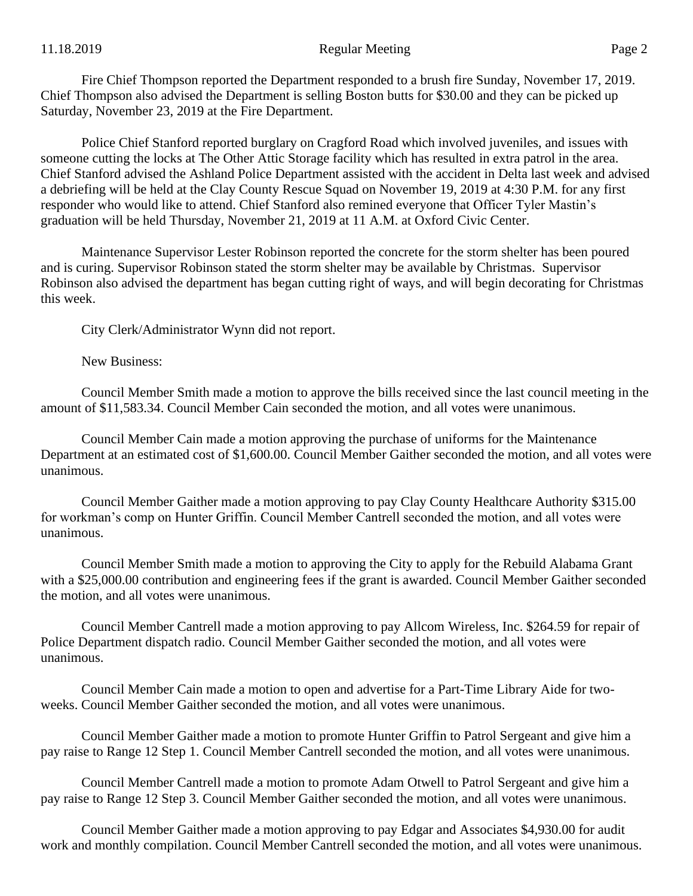Police Chief Stanford reported burglary on Cragford Road which involved juveniles, and issues with someone cutting the locks at The Other Attic Storage facility which has resulted in extra patrol in the area. Chief Stanford advised the Ashland Police Department assisted with the accident in Delta last week and advised a debriefing will be held at the Clay County Rescue Squad on November 19, 2019 at 4:30 P.M. for any first responder who would like to attend. Chief Stanford also remined everyone that Officer Tyler Mastin's graduation will be held Thursday, November 21, 2019 at 11 A.M. at Oxford Civic Center.

Maintenance Supervisor Lester Robinson reported the concrete for the storm shelter has been poured and is curing. Supervisor Robinson stated the storm shelter may be available by Christmas. Supervisor Robinson also advised the department has began cutting right of ways, and will begin decorating for Christmas this week.

City Clerk/Administrator Wynn did not report.

New Business:

Council Member Smith made a motion to approve the bills received since the last council meeting in the amount of \$11,583.34. Council Member Cain seconded the motion, and all votes were unanimous.

Council Member Cain made a motion approving the purchase of uniforms for the Maintenance Department at an estimated cost of \$1,600.00. Council Member Gaither seconded the motion, and all votes were unanimous.

Council Member Gaither made a motion approving to pay Clay County Healthcare Authority \$315.00 for workman's comp on Hunter Griffin. Council Member Cantrell seconded the motion, and all votes were unanimous.

Council Member Smith made a motion to approving the City to apply for the Rebuild Alabama Grant with a \$25,000.00 contribution and engineering fees if the grant is awarded. Council Member Gaither seconded the motion, and all votes were unanimous.

Council Member Cantrell made a motion approving to pay Allcom Wireless, Inc. \$264.59 for repair of Police Department dispatch radio. Council Member Gaither seconded the motion, and all votes were unanimous.

Council Member Cain made a motion to open and advertise for a Part-Time Library Aide for twoweeks. Council Member Gaither seconded the motion, and all votes were unanimous.

Council Member Gaither made a motion to promote Hunter Griffin to Patrol Sergeant and give him a pay raise to Range 12 Step 1. Council Member Cantrell seconded the motion, and all votes were unanimous.

Council Member Cantrell made a motion to promote Adam Otwell to Patrol Sergeant and give him a pay raise to Range 12 Step 3. Council Member Gaither seconded the motion, and all votes were unanimous.

Council Member Gaither made a motion approving to pay Edgar and Associates \$4,930.00 for audit work and monthly compilation. Council Member Cantrell seconded the motion, and all votes were unanimous.